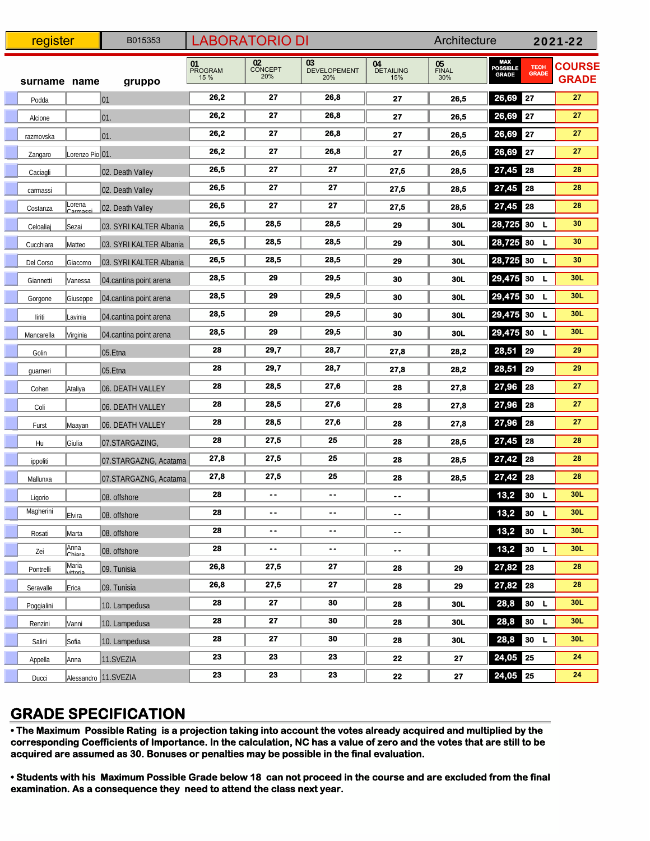| register     |                          | B015353                 | <b>LABORATORIO DI</b>        |                      |                                  |                               | Architecture       |                                                                | 2021-22                       |  |
|--------------|--------------------------|-------------------------|------------------------------|----------------------|----------------------------------|-------------------------------|--------------------|----------------------------------------------------------------|-------------------------------|--|
| surname name |                          | gruppo                  | 01<br><b>PROGRAM</b><br>15 % | 02<br>CONCEPT<br>20% | 03<br><b>DEVELOPEMENT</b><br>20% | 04<br><b>DETAILING</b><br>15% | 05<br>FINAL<br>30% | MAX<br>Possible<br><b>TECH</b><br><b>GRADE</b><br><b>GRADE</b> | <b>COURSE</b><br><b>GRADE</b> |  |
| Podda        |                          | 01                      | 26,2                         | 27                   | 26,8                             | 27                            | 26,5               | 26,69 27                                                       | 27                            |  |
| Alcione      |                          | $ 01$ .                 | 26,2                         | 27                   | 26,8                             | 27                            | 26,5               | 26,69 27                                                       | 27                            |  |
| razmovska    |                          | 01.                     | 26,2                         | 27                   | 26,8                             | 27                            | 26,5               | 26,69 27                                                       | 27                            |  |
| Zangaro      | Lorenzo Pio 01.          |                         | 26,2                         | 27                   | 26,8                             | 27                            | 26,5               | 26,69 27                                                       | 27                            |  |
| Caciagli     |                          | 02. Death Valley        | 26,5                         | 27                   | 27                               | 27,5                          | 28,5               | 27,45 28                                                       | 28                            |  |
| carmassi     |                          | 02. Death Valley        | 26,5                         | 27                   | 27                               | 27,5                          | 28,5               | 27,45 28                                                       | 28                            |  |
| Costanza     | Lorena<br><u>Carmace</u> | 02. Death Valley        | 26,5                         | 27                   | 27                               | 27,5                          | 28,5               | 27,45 28                                                       | 28                            |  |
| Celoaliaj    | ∥Sezai                   | 03. SYRI KALTER Albania | 26,5                         | 28,5                 | 28,5                             | 29                            | 30L                | 28,725 30<br>L                                                 | 30                            |  |
| Cucchiara    | Matteo                   | 03. SYRI KALTER Albania | 26,5                         | 28,5                 | 28,5                             | 29                            | 30L                | 28,725 30<br>L                                                 | 30                            |  |
| Del Corso    | Giacomo                  | 03. SYRI KALTER Albania | 26,5                         | 28,5                 | 28,5                             | 29                            | 30L                | 28,725 30<br>L                                                 | 30                            |  |
| Giannetti    | Vanessa                  | 04. cantina point arena | 28,5                         | 29                   | 29,5                             | 30                            | <b>30L</b>         | 29,475 30<br><b>L</b>                                          | 30L                           |  |
| Gorgone      | Giuseppe                 | 04.cantina point arena  | 28,5                         | 29                   | 29,5                             | 30                            | 30L                | 29,475 30<br>L                                                 | 30L                           |  |
| liriti       | Lavinia                  | 04.cantina point arena  | 28,5                         | 29                   | 29,5                             | 30                            | 30L                | 29,475 30<br>L                                                 | 30L                           |  |
| Mancarella   | Virginia                 | 04.cantina point arena  | 28,5                         | 29                   | 29,5                             | 30                            | 30L                | 29,475 30<br>L                                                 | 30L                           |  |
| Golin        |                          | $ 05.E$ tna             | 28                           | 29,7                 | 28,7                             | 27,8                          | 28,2               | 28,51 29                                                       | 29                            |  |
| guarneri     |                          | $ 05.E$ tna             | 28                           | 29,7                 | 28,7                             | 27,8                          | 28,2               | 28,51 29                                                       | 29                            |  |
| Cohen        | Ataliya                  | 06. DEATH VALLEY        | 28                           | 28,5                 | 27,6                             | 28                            | 27,8               | 27,96 28                                                       | 27                            |  |
| Coli         |                          | 06. DEATH VALLEY        | 28                           | 28,5                 | 27,6                             | 28                            | 27,8               | 27,96 28                                                       | 27                            |  |
| Furst        | Maayan                   | 06. DEATH VALLEY        | 28                           | 28,5                 | 27,6                             | 28                            | 27,8               | 27,96 28                                                       | 27                            |  |
| Hu           | Giulia                   | 07.STARGAZING,          | 28                           | 27,5                 | 25                               | 28                            | 28,5               | 27,45 28                                                       | 28                            |  |
| ippoliti     |                          | 07.STARGAZNG, Acatama   | 27,8                         | 27,5                 | 25                               | 28                            | 28,5               | 27,42 28                                                       | 28                            |  |
| Mallunxa     |                          | 07.STARGAZNG, Acatama   | 27,8                         | 27,5                 | 25                               | 28                            | 28,5               | 27,42 28                                                       | 28                            |  |
| Ligorio      |                          | 08. offshore            | 28                           |                      |                                  | ۰.                            |                    | 13,2<br>30 L                                                   | 30L                           |  |
| Magherini    | Elvira                   | 08. offshore            | 28                           | $\bullet$ $\bullet$  | $\overline{\phantom{a}}$         | $\overline{\phantom{a}}$ .    |                    | 13,2<br>30 L                                                   | 30L                           |  |
| Rosati       | Marta                    | 08. offshore            | 28                           | ۰.                   | ۰.                               | $\bullet$ $\bullet$           |                    | $13,2$ 30 L                                                    | 30L                           |  |
| Zei          | Anna<br>Chiara           | 08. offshore            | 28                           | $\ddotsc$            | $\sim$ $\sim$                    | $\overline{\phantom{a}}$ .    |                    | 13,2<br>30 L                                                   | 30L                           |  |
| Pontrelli    | Maria<br>vittoria        | 09. Tunisia             | 26,8                         | 27,5                 | 27                               | 28                            | 29                 | 27,82 28                                                       | 28                            |  |
| Seravalle    | Erica                    | 09. Tunisia             | 26,8                         | 27,5                 | 27                               | 28                            | 29                 | 27,82 28                                                       | 28                            |  |
| Poggialini   |                          | 10. Lampedusa           | 28                           | 27                   | 30                               | 28                            | 30L                | 28,8<br>30 L                                                   | 30L                           |  |
| Renzini      | Vanni                    | 10. Lampedusa           | 28                           | 27                   | 30                               | 28                            | 30L                | 28,8<br>30 L                                                   | 30L                           |  |
| Salini       | Sofia                    | 10. Lampedusa           | 28                           | 27                   | 30                               | 28                            | 30L                | 28,8<br>30 L                                                   | 30L                           |  |
| Appella      | Anna                     | 11.SVEZIA               | 23                           | 23                   | 23                               | 22                            | 27                 | 24,05 25                                                       | 24                            |  |
| Ducci        |                          | Alessandro 11.SVEZIA    | 23                           | 23                   | 23                               | 22                            | 27                 | 24,05 25                                                       | 24                            |  |

## **GRADE SPECIFICATION**

**• The Maximum Possible Rating is a projection taking into account the votes already acquired and multiplied by the corresponding Coefficients of Importance. In the calculation, NC has a value of zero and the votes that are still to be acquired are assumed as 30. Bonuses or penalties may be possible in the final evaluation.**

examination. As a consequence they need to attend the class next year.<br>`` **• Students with his Maximum Possible Grade below 18 can not proceed in the course and are excluded from the final**